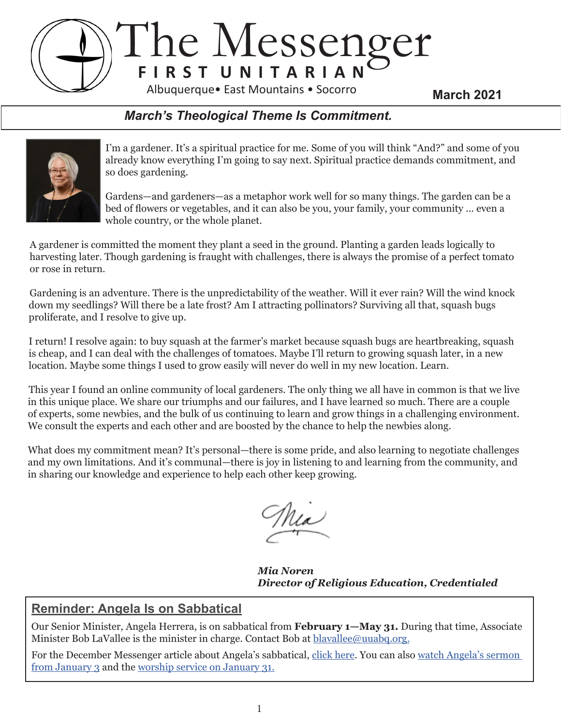## The Messenger **F I R S T U N I T A R I A N March 2021** Albuquerque• East Mountains • Socorro

## *March's Theological Theme Is Commitment.*



I'm a gardener. It's a spiritual practice for me. Some of you will think "And?" and some of you already know everything I'm going to say next. Spiritual practice demands commitment, and so does gardening.

Gardens—and gardeners—as a metaphor work well for so many things. The garden can be a bed of flowers or vegetables, and it can also be you, your family, your community ... even a whole country, or the whole planet.

A gardener is committed the moment they plant a seed in the ground. Planting a garden leads logically to harvesting later. Though gardening is fraught with challenges, there is always the promise of a perfect tomato or rose in return.

Gardening is an adventure. There is the unpredictability of the weather. Will it ever rain? Will the wind knock down my seedlings? Will there be a late frost? Am I attracting pollinators? Surviving all that, squash bugs proliferate, and I resolve to give up.

I return! I resolve again: to buy squash at the farmer's market because squash bugs are heartbreaking, squash is cheap, and I can deal with the challenges of tomatoes. Maybe I'll return to growing squash later, in a new location. Maybe some things I used to grow easily will never do well in my new location. Learn.

This year I found an online community of local gardeners. The only thing we all have in common is that we live in this unique place. We share our triumphs and our failures, and I have learned so much. There are a couple of experts, some newbies, and the bulk of us continuing to learn and grow things in a challenging environment. We consult the experts and each other and are boosted by the chance to help the newbies along.

What does my commitment mean? It's personal—there is some pride, and also learning to negotiate challenges and my own limitations. And it's communal—there is joy in listening to and learning from the community, and in sharing our knowledge and experience to help each other keep growing.

 *Mia Noren Director of Religious Education, Credentialed*

## **Reminder: Angela Is on Sabbatical**

Our Senior Minister, Angela Herrera, is on sabbatical from **February 1—May 31.** During that time, Associate Minister Bob LaVallee is the minister in charge. Contact Bob at blavallee@uuabq.org.

For the December Messenger article about Angela's sabbatical, click here. You can also watch Angela's sermon from January 3 and the worship service on January 31.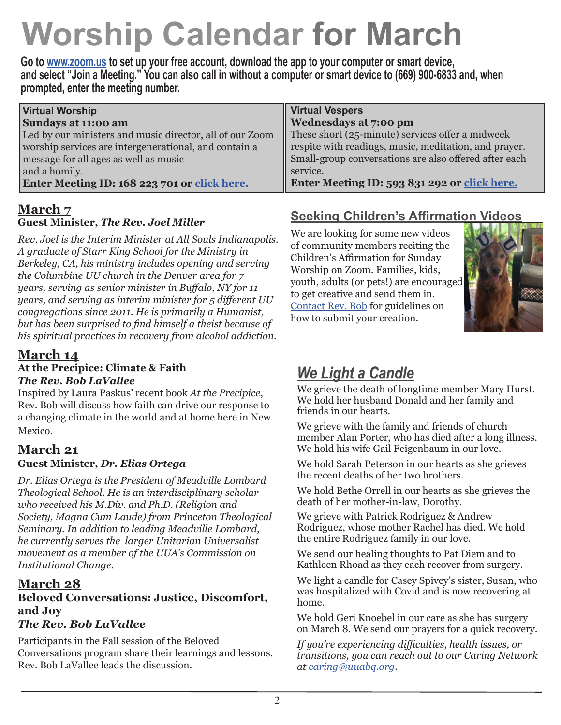# **Worship Calendar for March**

**Go to www.zoom.us to set up your free account, download the app to your computer or smart device, and select "Join a Meeting." You can also call in without a computer or smart device to (669) 900-6833 and, when prompted, enter the meeting number.**

| <b>Virtual Worship</b>                                   | <b>Virtual Vespers</b>                                |
|----------------------------------------------------------|-------------------------------------------------------|
| Sundays at 11:00 am                                      | Wednesdays at 7:00 pm                                 |
| Led by our ministers and music director, all of our Zoom | These short (25-minute) services offer a midweek      |
| worship services are intergenerational, and contain a    | respite with readings, music, meditation, and prayer. |
| message for all ages as well as music                    | Small-group conversations are also offered after each |
| and a homily.                                            | service.                                              |
| Enter Meeting ID: 168 223 701 or click here.             | Enter Meeting ID: 593 831 292 or click here.          |

#### **March 7 Guest Minister,** *The Rev. Joel Miller*

*Rev. Joel is the Interim Minister at All Souls Indianapolis. A graduate of Starr King School for the Ministry in Berkeley, CA, his ministry includes opening and serving the Columbine UU church in the Denver area for 7 years, serving as senior minister in Buffalo, NY for 11 years, and serving as interim minister for 5 different UU congregations since 2011. He is primarily a Humanist, but has been surprised to find himself a theist because of his spiritual practices in recovery from alcohol addiction.*

## **March 14**

#### **At the Precipice: Climate & Faith**  *The Rev. Bob LaVallee*

Inspired by Laura Paskus' recent book *At the Precipice*, Rev. Bob will discuss how faith can drive our response to a changing climate in the world and at home here in New Mexico.

## **March 21**

## **Guest Minister,** *Dr. Elias Ortega*

*Dr. Elias Ortega is the President of Meadville Lombard Theological School. He is an interdisciplinary scholar who received his M.Div. and Ph.D. (Religion and Society, Magna Cum Laude) from Princeton Theological Seminary. In addition to leading Meadville Lombard, he currently serves the larger Unitarian Universalist movement as a member of the UUA's Commission on Institutional Change.* 

## **March 28**

## **Beloved Conversations: Justice, Discomfort, and Joy**

## *The Rev. Bob LaVallee*

Participants in the Fall session of the Beloved Conversations program share their learnings and lessons. Rev. Bob LaVallee leads the discussion.

## **Seeking Children's Affirmation Videos**

We are looking for some new videos of community members reciting the Children's Affirmation for Sunday Worship on Zoom. Families, kids, youth, adults (or pets!) are encouraged to get creative and send them in. Contact Rev. Bob for guidelines on how to submit your creation.



## *We Light a Candle*

We grieve the death of longtime member Mary Hurst. We hold her husband Donald and her family and friends in our hearts.

We grieve with the family and friends of church member Alan Porter, who has died after a long illness. We hold his wife Gail Feigenbaum in our love.

We hold Sarah Peterson in our hearts as she grieves the recent deaths of her two brothers.

We hold Bethe Orrell in our hearts as she grieves the death of her mother-in-law, Dorothy.

We grieve with Patrick Rodriguez & Andrew Rodriguez, whose mother Rachel has died. We hold the entire Rodriguez family in our love.

We send our healing thoughts to Pat Diem and to Kathleen Rhoad as they each recover from surgery.

We light a candle for Casey Spivey's sister, Susan, who was hospitalized with Covid and is now recovering at home.

We hold Geri Knoebel in our care as she has surgery on March 8. We send our prayers for a quick recovery.

*If you're experiencing difficulties, health issues, or transitions, you can reach out to our Caring Network at caring@uuabq.org.*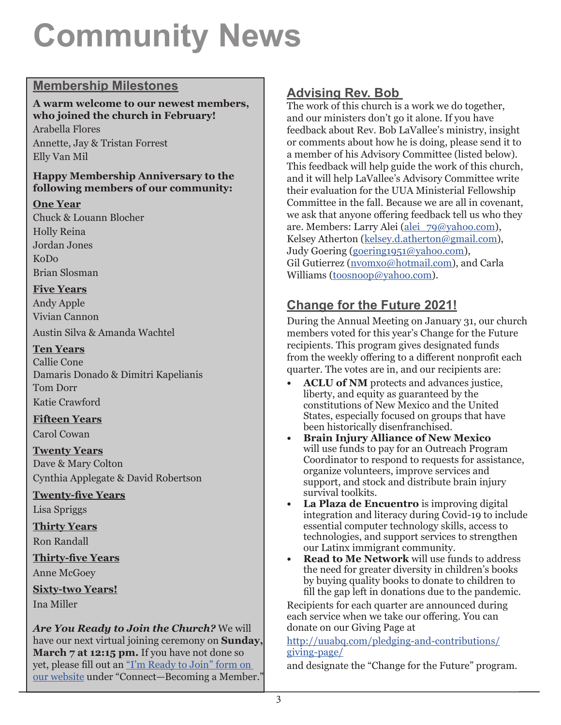# **Community News**

## **Membership Milestones**

#### **A warm welcome to our newest members, who joined the church in February!**

Arabella Flores Annette, Jay & Tristan Forrest Elly Van Mil

#### **Happy Membership Anniversary to the following members of our community:**

#### **One Year**

Chuck & Louann Blocher Holly Reina Jordan Jones KoDo Brian Slosman

#### **Five Years**

Andy Apple Vivian Cannon Austin Silva & Amanda Wachtel

#### **Ten Years**

Callie Cone Damaris Donado & Dimitri Kapelianis Tom Dorr Katie Crawford

### **Fifteen Years**

Carol Cowan

### **Twenty Years**

Dave & Mary Colton Cynthia Applegate & David Robertson

### **Twenty-five Years**

Lisa Spriggs

**Thirty Years** Ron Randall

**Thirty-five Years**

Anne McGoey

**Sixty-two Years!** Ina Miller

*Are You Ready to Join the Church?* We will have our next virtual joining ceremony on **Sunday, March 7 at 12:15 pm.** If you have not done so yet, please fill out an "I'm Ready to Join" form on our website under "Connect—Becoming a Member."

## **Advising Rev. Bob**

The work of this church is a work we do together, and our ministers don't go it alone. If you have feedback about Rev. Bob LaVallee's ministry, insight or comments about how he is doing, please send it to a member of his Advisory Committee (listed below). This feedback will help guide the work of this church, and it will help LaVallee's Advisory Committee write their evaluation for the UUA Ministerial Fellowship Committee in the fall. Because we are all in covenant, we ask that anyone offering feedback tell us who they are. Members: Larry Alei (alei\_79@yahoo.com), Kelsey Atherton (kelsey.d.atherton@gmail.com), Judy Goering (goering1951@yahoo.com), Gil Gutierrez (nvomxo@hotmail.com), and Carla Williams (toosnoop@yahoo.com).

## **Change for the Future 2021!**

During the Annual Meeting on January 31, our church members voted for this year's Change for the Future recipients. This program gives designated funds from the weekly offering to a different nonprofit each quarter. The votes are in, and our recipients are:

- **• ACLU of NM** protects and advances justice, liberty, and equity as guaranteed by the constitutions of New Mexico and the United States, especially focused on groups that have been historically disenfranchised.
- **• Brain Injury Alliance of New Mexico** will use funds to pay for an Outreach Program Coordinator to respond to requests for assistance, organize volunteers, improve services and support, and stock and distribute brain injury survival toolkits.
- **• La Plaza de Encuentro** is improving digital integration and literacy during Covid-19 to include essential computer technology skills, access to technologies, and support services to strengthen our Latinx immigrant community.
- **• Read to Me Network** will use funds to address the need for greater diversity in children's books by buying quality books to donate to children to fill the gap left in donations due to the pandemic.

Recipients for each quarter are announced during each service when we take our offering. You can donate on our Giving Page at

#### http://uuabq.com/pledging-and-contributions/ giving-page/

and designate the "Change for the Future" program.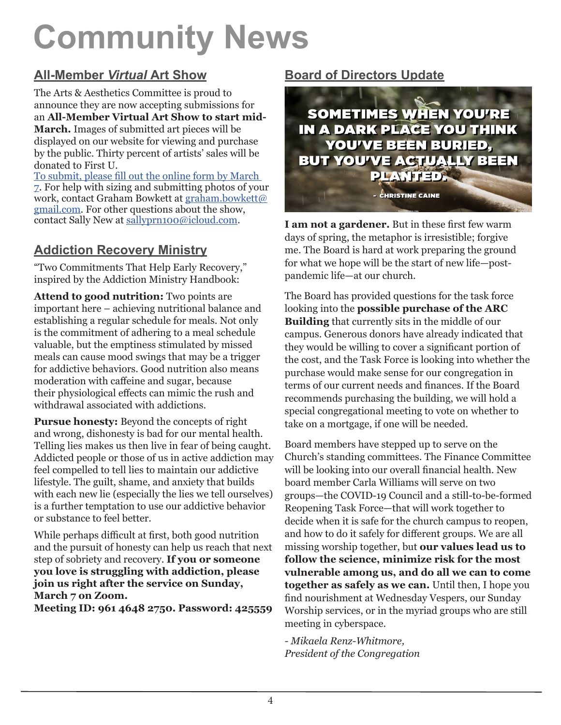# **Community News**

## **All-Member** *Virtual* **Art Show**

The Arts & Aesthetics Committee is proud to announce they are now accepting submissions for an **All-Member Virtual Art Show to start mid-March.** Images of submitted art pieces will be displayed on our website for viewing and purchase by the public. Thirty percent of artists' sales will be donated to First U.

To submit, please fill out the online form by March 7. For help with sizing and submitting photos of your work, contact Graham Bowkett at graham.bowkett@ gmail.com. For other questions about the show, contact Sally New at sallyprn100@icloud.com.

## **Addiction Recovery Ministry**

"Two Commitments That Help Early Recovery," inspired by the Addiction Ministry Handbook:

**Attend to good nutrition:** Two points are important here – achieving nutritional balance and establishing a regular schedule for meals. Not only is the commitment of adhering to a meal schedule valuable, but the emptiness stimulated by missed meals can cause mood swings that may be a trigger for addictive behaviors. Good nutrition also means moderation with caffeine and sugar, because their physiological effects can mimic the rush and withdrawal associated with addictions.

**Pursue honesty:** Beyond the concepts of right and wrong, dishonesty is bad for our mental health. Telling lies makes us then live in fear of being caught. Addicted people or those of us in active addiction may feel compelled to tell lies to maintain our addictive lifestyle. The guilt, shame, and anxiety that builds with each new lie (especially the lies we tell ourselves) is a further temptation to use our addictive behavior or substance to feel better.

While perhaps difficult at first, both good nutrition and the pursuit of honesty can help us reach that next step of sobriety and recovery. **If you or someone you love is struggling with addiction, please join us right after the service on Sunday, March 7 on Zoom.** 

**Meeting ID: 961 4648 2750. Password: 425559**

## **Board of Directors Update**



**I am not a gardener.** But in these first few warm days of spring, the metaphor is irresistible; forgive me. The Board is hard at work preparing the ground for what we hope will be the start of new life—postpandemic life—at our church.

The Board has provided questions for the task force looking into the **possible purchase of the ARC Building** that currently sits in the middle of our campus. Generous donors have already indicated that they would be willing to cover a significant portion of the cost, and the Task Force is looking into whether the purchase would make sense for our congregation in terms of our current needs and finances. If the Board recommends purchasing the building, we will hold a special congregational meeting to vote on whether to take on a mortgage, if one will be needed.

Board members have stepped up to serve on the Church's standing committees. The Finance Committee will be looking into our overall financial health. New board member Carla Williams will serve on two groups—the COVID-19 Council and a still-to-be-formed Reopening Task Force—that will work together to decide when it is safe for the church campus to reopen, and how to do it safely for different groups. We are all missing worship together, but **our values lead us to follow the science, minimize risk for the most vulnerable among us, and do all we can to come together as safely as we can.** Until then, I hope you find nourishment at Wednesday Vespers, our Sunday Worship services, or in the myriad groups who are still meeting in cyberspace.

*- Mikaela Renz-Whitmore, President of the Congregation*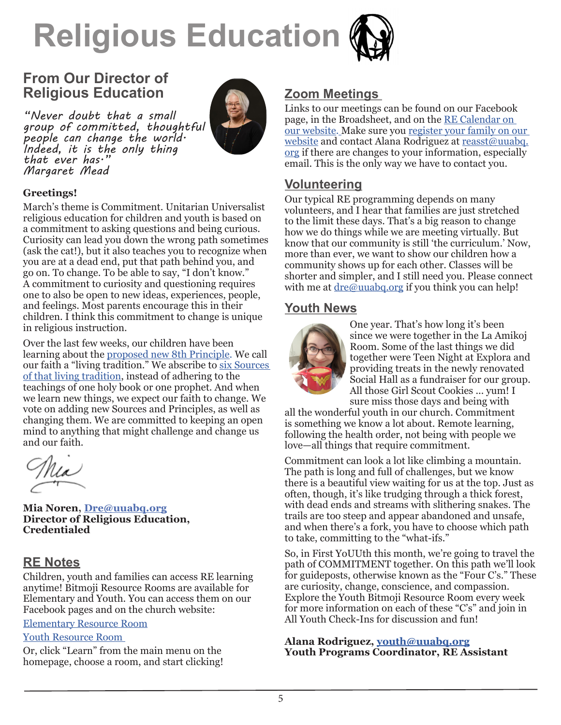

## **From Our Director of Religious Education**

*"Never doubt that a small group of committed, thoughtful people can change the world. Indeed, it is the only thing Margaret Mead* 



#### **Greetings!**

March's theme is Commitment. Unitarian Universalist religious education for children and youth is based on a commitment to asking questions and being curious. Curiosity can lead you down the wrong path sometimes (ask the cat!), but it also teaches you to recognize when you are at a dead end, put that path behind you, and go on. To change. To be able to say, "I don't know." A commitment to curiosity and questioning requires one to also be open to new ideas, experiences, people, and feelings. Most parents encourage this in their children. I think this commitment to change is unique in religious instruction.

Over the last few weeks, our children have been learning about the proposed new 8th Principle. We call our faith a "living tradition." We abscribe to six Sources of that living tradition, instead of adhering to the teachings of one holy book or one prophet. And when we learn new things, we expect our faith to change. We vote on adding new Sources and Principles, as well as changing them. We are committed to keeping an open mind to anything that might challenge and change us and our faith.

**Mia Noren, Dre@uuabq.org Director of Religious Education, Credentialed**

#### **RE Notes**

Children, youth and families can access RE learning anytime! Bitmoji Resource Rooms are available for Elementary and Youth. You can access them on our Facebook pages and on the church website:

#### Elementary Resource Room

#### Youth Resource Room

Or, click "Learn" from the main menu on the homepage, choose a room, and start clicking!

#### **Zoom Meetings**

Links to our meetings can be found on our Facebook page, in the Broadsheet, and on the RE Calendar on our website. Make sure you register your family on our website and contact Alana Rodriguez at reasst@uuabq. org if there are changes to your information, especially email. This is the only way we have to contact you.

#### **Volunteering**

Our typical RE programming depends on many volunteers, and I hear that families are just stretched to the limit these days. That's a big reason to change how we do things while we are meeting virtually. But know that our community is still 'the curriculum.' Now, more than ever, we want to show our children how a community shows up for each other. Classes will be shorter and simpler, and I still need you. Please connect with me at  $\text{dre@uualq.org}$  if you think you can help!

#### **Youth News**



One year. That's how long it's been since we were together in the La Amikoj Room. Some of the last things we did together were Teen Night at Explora and providing treats in the newly renovated Social Hall as a fundraiser for our group. All those Girl Scout Cookies ... yum! I sure miss those days and being with

all the wonderful youth in our church. Commitment is something we know a lot about. Remote learning, following the health order, not being with people we love—all things that require commitment.

Commitment can look a lot like climbing a mountain. The path is long and full of challenges, but we know there is a beautiful view waiting for us at the top. Just as often, though, it's like trudging through a thick forest, with dead ends and streams with slithering snakes. The trails are too steep and appear abandoned and unsafe, and when there's a fork, you have to choose which path to take, committing to the "what-ifs."

So, in First YoUUth this month, we're going to travel the path of COMMITMENT together. On this path we'll look for guideposts, otherwise known as the "Four C's." These are curiosity, change, conscience, and compassion. Explore the Youth Bitmoji Resource Room every week for more information on each of these "C's" and join in All Youth Check-Ins for discussion and fun!

#### **Alana Rodriguez, youth@uuabq.org Youth Programs Coordinator, RE Assistant**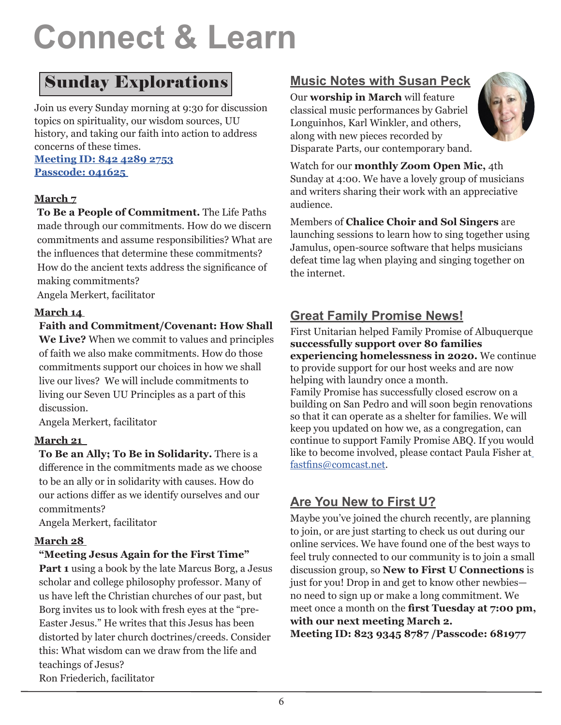# **Connect & Learn**

## Sunday Explorations

Join us every Sunday morning at 9:30 for discussion topics on spirituality, our wisdom sources, UU history, and taking our faith into action to address concerns of these times.

#### **Meeting ID: 842 4289 2753 Passcode: 041625**

#### **March 7**

**To Be a People of Commitment.** The Life Paths made through our commitments. How do we discern commitments and assume responsibilities? What are the influences that determine these commitments? How do the ancient texts address the significance of making commitments?

Angela Merkert, facilitator

#### **March 14**

#### **Faith and Commitment/Covenant: How Shall**

**We Live?** When we commit to values and principles of faith we also make commitments. How do those commitments support our choices in how we shall live our lives? We will include commitments to living our Seven UU Principles as a part of this discussion.

Angela Merkert, facilitator

#### **March 21**

**To Be an Ally; To Be in Solidarity.** There is a difference in the commitments made as we choose to be an ally or in solidarity with causes. How do our actions differ as we identify ourselves and our commitments?

Angela Merkert, facilitator

### **March 28**

#### **"Meeting Jesus Again for the First Time"**

**Part 1** using a book by the late Marcus Borg, a Jesus scholar and college philosophy professor. Many of us have left the Christian churches of our past, but Borg invites us to look with fresh eyes at the "pre-Easter Jesus." He writes that this Jesus has been distorted by later church doctrines/creeds. Consider this: What wisdom can we draw from the life and teachings of Jesus? Ron Friederich, facilitator

## **Music Notes with Susan Peck**

Our **worship in March** will feature classical music performances by Gabriel Longuinhos, Karl Winkler, and others, along with new pieces recorded by Disparate Parts, our contemporary band.



Watch for our **monthly Zoom Open Mic,** 4th Sunday at 4:00. We have a lovely group of musicians and writers sharing their work with an appreciative audience.

Members of **Chalice Choir and Sol Singers** are launching sessions to learn how to sing together using Jamulus, open-source software that helps musicians defeat time lag when playing and singing together on the internet.

## **Great Family Promise News!**

First Unitarian helped Family Promise of Albuquerque **successfully support over 80 families experiencing homelessness in 2020.** We continue to provide support for our host weeks and are now helping with laundry once a month.

Family Promise has successfully closed escrow on a building on San Pedro and will soon begin renovations so that it can operate as a shelter for families. We will keep you updated on how we, as a congregation, can continue to support Family Promise ABQ. If you would like to become involved, please contact Paula Fisher at fastfins@comcast.net.

## **Are You New to First U?**

Maybe you've joined the church recently, are planning to join, or are just starting to check us out during our online services. We have found one of the best ways to feel truly connected to our community is to join a small discussion group, so **New to First U Connections** is just for you! Drop in and get to know other newbies no need to sign up or make a long commitment. We meet once a month on the **first Tuesday at 7:00 pm, with our next meeting March 2.** 

**Meeting ID: 823 9345 8787 /Passcode: 681977**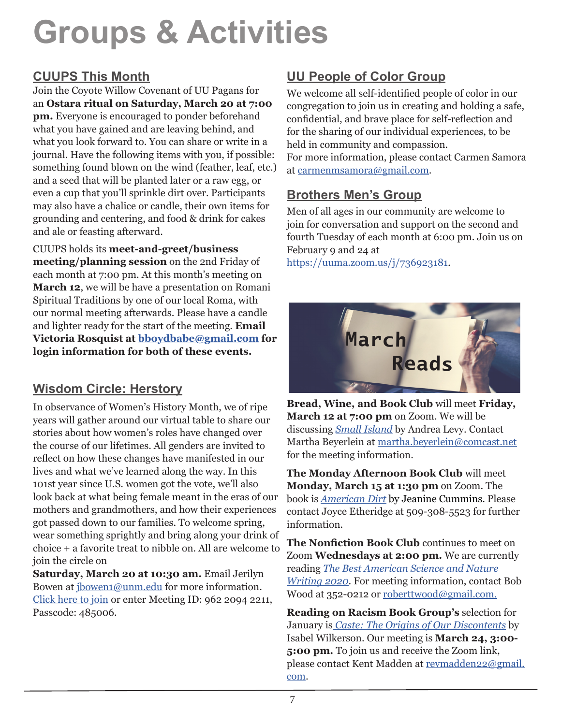## **Groups & Activities**

## **CUUPS This Month**

Join the Coyote Willow Covenant of UU Pagans for an **Ostara ritual on Saturday, March 20 at 7:00 pm.** Everyone is encouraged to ponder beforehand what you have gained and are leaving behind, and what you look forward to. You can share or write in a journal. Have the following items with you, if possible: something found blown on the wind (feather, leaf, etc.) and a seed that will be planted later or a raw egg, or even a cup that you'll sprinkle dirt over. Participants may also have a chalice or candle, their own items for grounding and centering, and food & drink for cakes and ale or feasting afterward.

CUUPS holds its **meet-and-greet/business meeting/planning session** on the 2nd Friday of each month at 7:00 pm. At this month's meeting on **March 12**, we will be have a presentation on Romani Spiritual Traditions by one of our local Roma, with our normal meeting afterwards. Please have a candle and lighter ready for the start of the meeting. **Email Victoria Rosquist at bboydbabe@gmail.com for login information for both of these events.**

## **Wisdom Circle: Herstory**

In observance of Women's History Month, we of ripe years will gather around our virtual table to share our stories about how women's roles have changed over the course of our lifetimes. All genders are invited to reflect on how these changes have manifested in our lives and what we've learned along the way. In this 101st year since U.S. women got the vote, we'll also look back at what being female meant in the eras of our mothers and grandmothers, and how their experiences got passed down to our families. To welcome spring, wear something sprightly and bring along your drink of choice + a favorite treat to nibble on. All are welcome to join the circle on

**Saturday, March 20 at 10:30 am.** Email Jerilyn Bowen at jbowen1@unm.edu for more information. Click here to join or enter Meeting ID: 962 2094 2211, Passcode: 485006.

## **UU People of Color Group**

We welcome all self-identified people of color in our congregation to join us in creating and holding a safe, confidential, and brave place for self-reflection and for the sharing of our individual experiences, to be held in community and compassion.

For more information, please contact Carmen Samora at carmenmsamora@gmail.com.

## **Brothers Men's Group**

Men of all ages in our community are welcome to join for conversation and support on the second and fourth Tuesday of each month at 6:00 pm. Join us on February 9 and 24 at

https://uuma.zoom.us/j/736923181.



**Bread, Wine, and Book Club** will meet **Friday, March 12 at 7:00 pm** on Zoom. We will be discussing *Small Island* by Andrea Levy. Contact Martha Beyerlein at martha.beyerlein@comcast.net for the meeting information.

**The Monday Afternoon Book Club** will meet **Monday, March 15 at 1:30 pm** on Zoom. The book is *American Dirt* by Jeanine Cummins. Please contact Joyce Etheridge at 509-308-5523 for further information.

**The Nonfiction Book Club** continues to meet on Zoom **Wednesdays at 2:00 pm.** We are currently reading *The Best American Science and Nature Writing 2020*. For meeting information, contact Bob Wood at 352-0212 or roberttwood@gmail.com.

**Reading on Racism Book Group's** selection for January is *Caste: The Origins of Our Discontents* by Isabel Wilkerson. Our meeting is **March 24, 3:00- 5:00 pm.** To join us and receive the Zoom link, please contact Kent Madden at revmadden22@gmail. com.